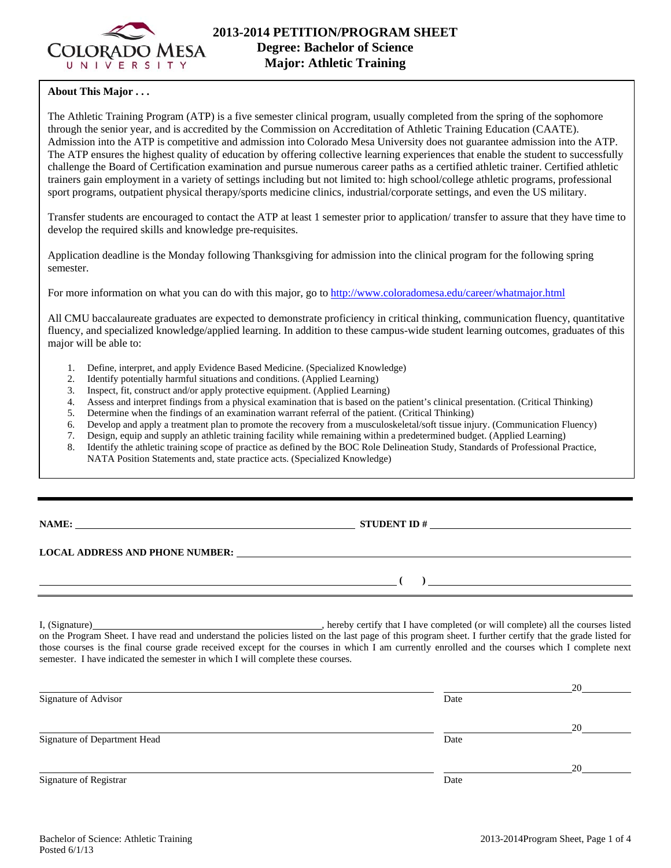

# **About This Major . . .**

The Athletic Training Program (ATP) is a five semester clinical program, usually completed from the spring of the sophomore through the senior year, and is accredited by the Commission on Accreditation of Athletic Training Education (CAATE). Admission into the ATP is competitive and admission into Colorado Mesa University does not guarantee admission into the ATP. The ATP ensures the highest quality of education by offering collective learning experiences that enable the student to successfully challenge the Board of Certification examination and pursue numerous career paths as a certified athletic trainer. Certified athletic trainers gain employment in a variety of settings including but not limited to: high school/college athletic programs, professional sport programs, outpatient physical therapy/sports medicine clinics, industrial/corporate settings, and even the US military.

Transfer students are encouraged to contact the ATP at least 1 semester prior to application/ transfer to assure that they have time to develop the required skills and knowledge pre-requisites.

Application deadline is the Monday following Thanksgiving for admission into the clinical program for the following spring semester.

For more information on what you can do with this major, go to http://www.coloradomesa.edu/career/whatmajor.html

All CMU baccalaureate graduates are expected to demonstrate proficiency in critical thinking, communication fluency, quantitative fluency, and specialized knowledge/applied learning. In addition to these campus-wide student learning outcomes, graduates of this major will be able to:

- 1. Define, interpret, and apply Evidence Based Medicine. (Specialized Knowledge)
- 2. Identify potentially harmful situations and conditions. (Applied Learning)
- 3. Inspect, fit, construct and/or apply protective equipment. (Applied Learning)
- 4. Assess and interpret findings from a physical examination that is based on the patient's clinical presentation. (Critical Thinking)
- 5. Determine when the findings of an examination warrant referral of the patient. (Critical Thinking)
- 6. Develop and apply a treatment plan to promote the recovery from a musculoskeletal/soft tissue injury. (Communication Fluency)
- 7. Design, equip and supply an athletic training facility while remaining within a predetermined budget. (Applied Learning)
- 8. Identify the athletic training scope of practice as defined by the BOC Role Delineation Study, Standards of Professional Practice, NATA Position Statements and, state practice acts. (Specialized Knowledge)

**NAME: STUDENT ID #** 

 $\lambda$ 

# **LOCAL ADDRESS AND PHONE NUMBER:**

I, (Signature) , hereby certify that I have completed (or will complete) all the courses listed on the Program Sheet. I have read and understand the policies listed on the last page of this program sheet. I further certify that the grade listed for those courses is the final course grade received except for the courses in which I am currently enrolled and the courses which I complete next semester. I have indicated the semester in which I will complete these courses.

|                              |      | 20 |
|------------------------------|------|----|
| Signature of Advisor         | Date |    |
|                              |      | 20 |
| Signature of Department Head | Date |    |
|                              |      | 20 |
| Signature of Registrar       | Date |    |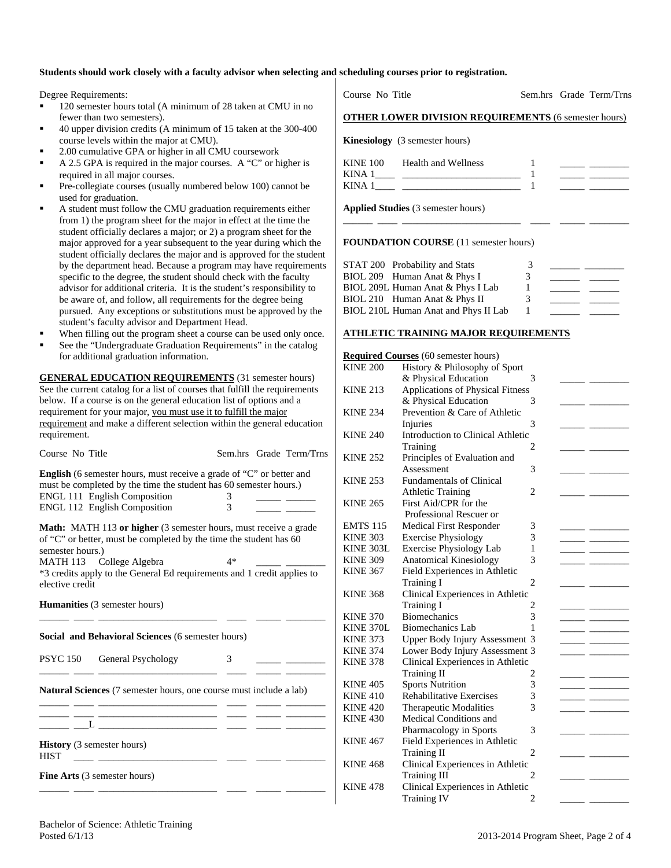#### **Students should work closely with a faculty advisor when selecting and scheduling courses prior to registration.**

Degree Requirements:

- <sup>120</sup> semester hours total (A minimum of 28 taken at CMU in no fewer than two semesters).
- 40 upper division credits (A minimum of 15 taken at the 300-400 course levels within the major at CMU).
- 2.00 cumulative GPA or higher in all CMU coursework
- A 2.5 GPA is required in the major courses. A "C" or higher is required in all major courses.
- Pre-collegiate courses (usually numbered below 100) cannot be used for graduation.
- A student must follow the CMU graduation requirements either from 1) the program sheet for the major in effect at the time the student officially declares a major; or 2) a program sheet for the major approved for a year subsequent to the year during which the student officially declares the major and is approved for the student by the department head. Because a program may have requirements specific to the degree, the student should check with the faculty advisor for additional criteria. It is the student's responsibility to be aware of, and follow, all requirements for the degree being pursued. Any exceptions or substitutions must be approved by the student's faculty advisor and Department Head.
- When filling out the program sheet a course can be used only once.
- See the "Undergraduate Graduation Requirements" in the catalog for additional graduation information.

**GENERAL EDUCATION REQUIREMENTS** (31 semester hours) See the current catalog for a list of courses that fulfill the requirements below. If a course is on the general education list of options and a requirement for your major, you must use it to fulfill the major requirement and make a different selection within the general education requirement.

| Course No Title                                                                                                                                                                                                                                                                             |        | Sem.hrs Grade Term/Trns |
|---------------------------------------------------------------------------------------------------------------------------------------------------------------------------------------------------------------------------------------------------------------------------------------------|--------|-------------------------|
| <b>English</b> (6 semester hours, must receive a grade of "C" or better and<br>must be completed by the time the student has 60 semester hours.)<br><b>ENGL 111 English Composition</b><br><b>ENGL 112 English Composition</b>                                                              | 3<br>3 |                         |
| <b>Math:</b> MATH 113 or higher (3 semester hours, must receive a grade<br>of "C" or better, must be completed by the time the student has 60<br>semester hours.)<br>MATH 113 College Algebra<br>*3 credits apply to the General Ed requirements and 1 credit applies to<br>elective credit | $4*$   |                         |
| <b>Humanities</b> (3 semester hours)                                                                                                                                                                                                                                                        |        |                         |
| Social and Behavioral Sciences (6 semester hours)                                                                                                                                                                                                                                           |        |                         |
| PSYC 150 General Psychology                                                                                                                                                                                                                                                                 | 3      |                         |
| <b>Natural Sciences</b> (7 semester hours, one course must include a lab)                                                                                                                                                                                                                   |        |                         |
|                                                                                                                                                                                                                                                                                             |        |                         |
| <b>History</b> (3 semester hours)<br><b>HIST</b>                                                                                                                                                                                                                                            |        |                         |
| <b>Fine Arts</b> (3 semester hours)                                                                                                                                                                                                                                                         |        |                         |

Course No Title Sem.hrs Grade Term/Trns

## **OTHER LOWER DIVISION REQUIREMENTS** (6 semester hours)

**Kinesiology** (3 semester hours)

| KINE 100    | <b>Health and Wellness</b> |  |
|-------------|----------------------------|--|
| <b>KINA</b> |                            |  |
| <b>KINA</b> |                            |  |

\_\_\_\_\_\_ \_\_\_\_ \_\_\_\_\_\_\_\_\_\_\_\_\_\_\_\_\_\_\_\_\_\_\_\_ \_\_\_\_ \_\_\_\_\_ \_\_\_\_\_\_\_\_

**Applied Studies** (3 semester hours)

#### **FOUNDATION COURSE** (11 semester hours)

| STAT 200 Probability and Stats       | 3 |  |
|--------------------------------------|---|--|
| BIOL 209 Human Anat & Phys I         | 3 |  |
| BIOL 209L Human Anat & Phys I Lab    |   |  |
| BIOL 210 Human Anat & Phys II        | 3 |  |
| BIOL 210L Human Anat and Phys II Lab |   |  |

### **ATHLETIC TRAINING MAJOR REQUIREMENTS**

|                 | <b>Required Courses (60 semester hours)</b> |                |  |
|-----------------|---------------------------------------------|----------------|--|
| <b>KINE 200</b> | History & Philosophy of Sport               |                |  |
|                 | & Physical Education                        | 3              |  |
| <b>KINE 213</b> | Applications of Physical Fitness            |                |  |
|                 | & Physical Education                        | 3              |  |
| <b>KINE 234</b> | Prevention & Care of Athletic               |                |  |
|                 | Injuries                                    | 3              |  |
| <b>KINE 240</b> | Introduction to Clinical Athletic           |                |  |
|                 | Training                                    | 2              |  |
| <b>KINE 252</b> | Principles of Evaluation and                |                |  |
|                 | Assessment                                  | 3              |  |
| <b>KINE 253</b> | <b>Fundamentals of Clinical</b>             |                |  |
|                 | <b>Athletic Training</b>                    | $\overline{c}$ |  |
| <b>KINE 265</b> | First Aid/CPR for the                       |                |  |
|                 | Professional Rescuer or                     |                |  |
| <b>EMTS 115</b> | Medical First Responder                     | 3              |  |
| <b>KINE 303</b> | <b>Exercise Physiology</b>                  | 3              |  |
| KINE 303L       | <b>Exercise Physiology Lab</b>              | 1              |  |
| <b>KINE 309</b> | <b>Anatomical Kinesiology</b>               | 3              |  |
| <b>KINE 367</b> | Field Experiences in Athletic               |                |  |
|                 | <b>Training I</b>                           | $\overline{2}$ |  |
| <b>KINE 368</b> | Clinical Experiences in Athletic            |                |  |
|                 | <b>Training I</b>                           | 2              |  |
| <b>KINE 370</b> | <b>Biomechanics</b>                         | 3              |  |
| KINE 370L       | <b>Biomechanics Lab</b>                     | 1              |  |
| <b>KINE 373</b> | Upper Body Injury Assessment 3              |                |  |
| <b>KINE 374</b> | Lower Body Injury Assessment 3              |                |  |
| <b>KINE 378</b> | Clinical Experiences in Athletic            |                |  |
|                 | Training II                                 | 2              |  |
| <b>KINE 405</b> | <b>Sports Nutrition</b>                     | 3              |  |
| <b>KINE 410</b> | <b>Rehabilitative Exercises</b>             | 3              |  |
| <b>KINE 420</b> | Therapeutic Modalities                      | 3              |  |
| <b>KINE 430</b> | Medical Conditions and                      |                |  |
|                 | Pharmacology in Sports                      | 3              |  |
| <b>KINE 467</b> | Field Experiences in Athletic               |                |  |
|                 | <b>Training II</b>                          | $\overline{2}$ |  |
| <b>KINE 468</b> | Clinical Experiences in Athletic            |                |  |
|                 | <b>Training III</b>                         | 2              |  |
| <b>KINE 478</b> | Clinical Experiences in Athletic            |                |  |
|                 | <b>Training IV</b>                          | 2              |  |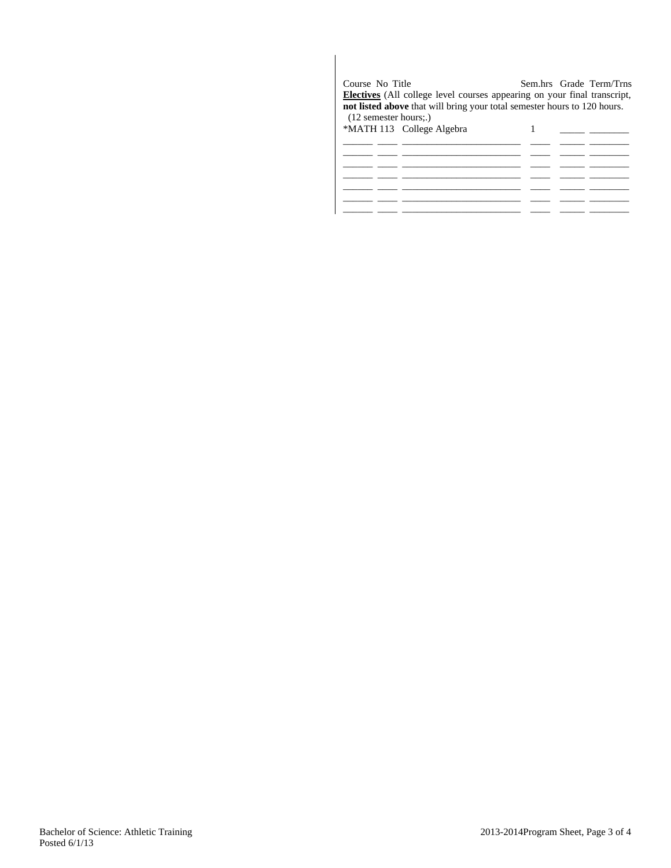| Course No Title<br>$(12$ semester hours;.) | <b>Electives</b> (All college level courses appearing on your final transcript,<br>not listed above that will bring your total semester hours to 120 hours. |  | Sem.hrs Grade Term/Trns |
|--------------------------------------------|-------------------------------------------------------------------------------------------------------------------------------------------------------------|--|-------------------------|
|                                            |                                                                                                                                                             |  |                         |
|                                            | *MATH 113 College Algebra                                                                                                                                   |  |                         |
|                                            |                                                                                                                                                             |  |                         |
|                                            |                                                                                                                                                             |  |                         |
|                                            |                                                                                                                                                             |  |                         |
|                                            |                                                                                                                                                             |  |                         |
|                                            |                                                                                                                                                             |  |                         |
|                                            |                                                                                                                                                             |  |                         |
|                                            |                                                                                                                                                             |  |                         |
|                                            |                                                                                                                                                             |  |                         |